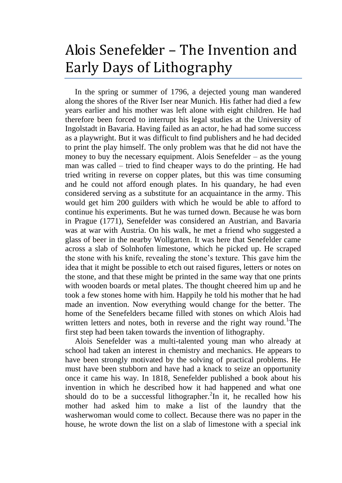## Alois Senefelder – The Invention and Early Days of Lithography

In the spring or summer of 1796, a dejected young man wandered along the shores of the River Iser near Munich. His father had died a few years earlier and his mother was left alone with eight children. He had therefore been forced to interrupt his legal studies at the University of Ingolstadt in Bavaria. Having failed as an actor, he had had some success as a playwright. But it was difficult to find publishers and he had decided to print the play himself. The only problem was that he did not have the money to buy the necessary equipment. Alois Senefelder – as the young man was called – tried to find cheaper ways to do the printing. He had tried writing in reverse on copper plates, but this was time consuming and he could not afford enough plates. In his quandary, he had even considered serving as a substitute for an acquaintance in the army. This would get him 200 guilders with which he would be able to afford to continue his experiments. But he was turned down. Because he was born in Prague (1771), Senefelder was considered an Austrian, and Bavaria was at war with Austria. On his walk, he met a friend who suggested a glass of beer in the nearby Wollgarten. It was here that Senefelder came across a slab of Solnhofen limestone, which he picked up. He scraped the stone with his knife, revealing the stone's texture. This gave him the idea that it might be possible to etch out raised figures, letters or notes on the stone, and that these might be printed in the same way that one prints with wooden boards or metal plates. The thought cheered him up and he took a few stones home with him. Happily he told his mother that he had made an invention. Now everything would change for the better. The home of the Senefelders became filled with stones on which Alois had written letters and notes, both in reverse and the right way round.<sup>1</sup>The first step had been taken towards the invention of lithography.

Alois Senefelder was a multi-talented young man who already at school had taken an interest in chemistry and mechanics. He appears to have been strongly motivated by the solving of practical problems. He must have been stubborn and have had a knack to seize an opportunity once it came his way. In 1818, Senefelder published a book about his invention in which he described how it had happened and what one should do to be a successful lithographer.<sup>2</sup>In it, he recalled how his mother had asked him to make a list of the laundry that the washerwoman would come to collect. Because there was no paper in the house, he wrote down the list on a slab of limestone with a special ink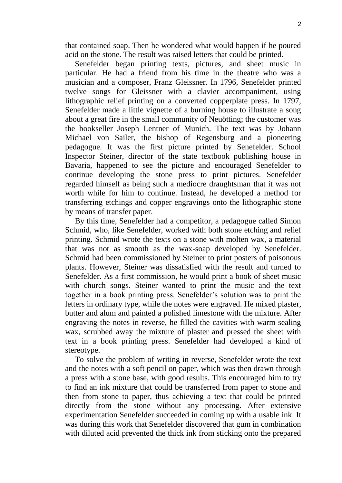that contained soap. Then he wondered what would happen if he poured acid on the stone. The result was raised letters that could be printed.

Senefelder began printing texts, pictures, and sheet music in particular. He had a friend from his time in the theatre who was a musician and a composer, Franz Gleissner. In 1796, Senefelder printed twelve songs for Gleissner with a clavier accompaniment, using lithographic relief printing on a converted copperplate press. In 1797, Senefelder made a little vignette of a burning house to illustrate a song about a great fire in the small community of Neuötting; the customer was the bookseller Joseph Lentner of Munich. The text was by Johann Michael von Sailer, the bishop of Regensburg and a pioneering pedagogue. It was the first picture printed by Senefelder. School Inspector Steiner, director of the state textbook publishing house in Bavaria, happened to see the picture and encouraged Senefelder to continue developing the stone press to print pictures. Senefelder regarded himself as being such a mediocre draughtsman that it was not worth while for him to continue. Instead, he developed a method for transferring etchings and copper engravings onto the lithographic stone by means of transfer paper.

By this time, Senefelder had a competitor, a pedagogue called Simon Schmid, who, like Senefelder, worked with both stone etching and relief printing. Schmid wrote the texts on a stone with molten wax, a material that was not as smooth as the wax-soap developed by Senefelder. Schmid had been commissioned by Steiner to print posters of poisonous plants. However, Steiner was dissatisfied with the result and turned to Senefelder. As a first commission, he would print a book of sheet music with church songs. Steiner wanted to print the music and the text together in a book printing press. Senefelder's solution was to print the letters in ordinary type, while the notes were engraved. He mixed plaster, butter and alum and painted a polished limestone with the mixture. After engraving the notes in reverse, he filled the cavities with warm sealing wax, scrubbed away the mixture of plaster and pressed the sheet with text in a book printing press. Senefelder had developed a kind of stereotype.

To solve the problem of writing in reverse, Senefelder wrote the text and the notes with a soft pencil on paper, which was then drawn through a press with a stone base, with good results. This encouraged him to try to find an ink mixture that could be transferred from paper to stone and then from stone to paper, thus achieving a text that could be printed directly from the stone without any processing. After extensive experimentation Senefelder succeeded in coming up with a usable ink. It was during this work that Senefelder discovered that gum in combination with diluted acid prevented the thick ink from sticking onto the prepared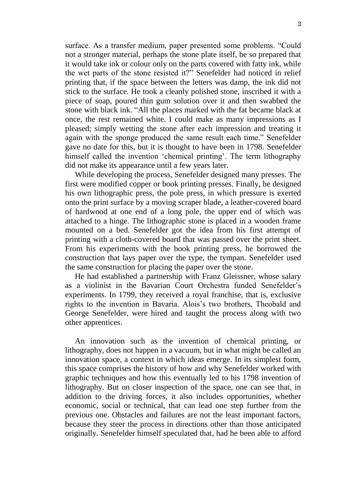surface. As a transfer medium, paper presented some problems. "Could not a stronger material, perhaps the stone plate itself, be so prepared that it would take ink or colour only on the parts covered with fatty ink, while the wet parts of the stone resisted it?" Senefelder had noticed in relief printing that, if the space between the letters was damp, the ink did not stick to the surface. He took a cleanly polished stone, inscribed it with a piece of soap, poured thin gum solution over it and then swabbed the stone with black ink. "All the places marked with the fat became black at once, the rest remained white. I could make as many impressions as I pleased; simply wetting the stone after each impression and treating it again with the sponge produced the same result each time." Senefelder gave no date for this, but it is thought to have been in 1798. Senefelder himself called the invention 'chemical printing'. The term lithography did not make its appearance until a few years later.

While developing the process, Senefelder designed many presses. The first were modified copper or book printing presses. Finally, he designed his own lithographic press, the pole press, in which pressure is exerted onto the print surface by a moving scraper blade, a leather-covered board of hardwood at one end of a long pole, the upper end of which was attached to a hinge. The lithographic stone is placed in a wooden frame mounted on a bed. Senefelder got the idea from his first attempt of printing with a cloth-covered board that was passed over the print sheet. From his experiments with the book printing press, he borrowed the construction that lays paper over the type, the tympan. Senefelder used the same construction for placing the paper over the stone.

He had established a partnership with Franz Gleissner, whose salary as a violinist in the Bavarian Court Orchestra funded Senefelder's experiments. In 1799, they received a royal franchise, that is, exclusive rights to the invention in Bavaria. Alois's two brothers, Theobald and George Senefelder, were hired and taught the process along with two other apprentices.

An innovation such as the invention of chemical printing, or lithography, does not happen in a vacuum, but in what might be called an innovation space, a context in which ideas emerge. In its simplest form, this space comprises the history of how and why Senefelder worked with graphic techniques and how this eventually led to his 1798 invention of lithography. But on closer inspection of the space, one can see that, in addition to the driving forces, it also includes opportunities, whether economic, social or technical, that can lead one step further from the previous one. Obstacles and failures are not the least important factors, because they steer the process in directions other than those anticipated originally. Senefelder himself speculated that, had he been able to afford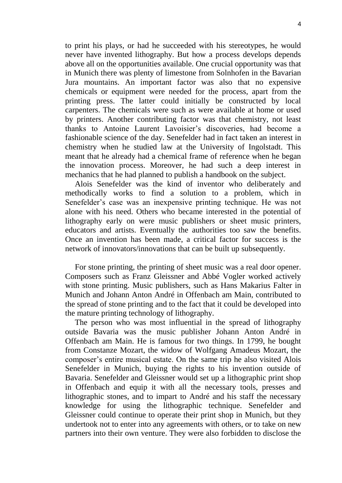to print his plays, or had he succeeded with his stereotypes, he would never have invented lithography. But how a process develops depends above all on the opportunities available. One crucial opportunity was that in Munich there was plenty of limestone from Solnhofen in the Bavarian Jura mountains. An important factor was also that no expensive chemicals or equipment were needed for the process, apart from the printing press. The latter could initially be constructed by local carpenters. The chemicals were such as were available at home or used by printers. Another contributing factor was that chemistry, not least thanks to Antoine Laurent Lavoisier's discoveries, had become a fashionable science of the day. Senefelder had in fact taken an interest in chemistry when he studied law at the University of Ingolstadt. This meant that he already had a chemical frame of reference when he began the innovation process. Moreover, he had such a deep interest in mechanics that he had planned to publish a handbook on the subject.

Alois Senefelder was the kind of inventor who deliberately and methodically works to find a solution to a problem, which in Senefelder's case was an inexpensive printing technique. He was not alone with his need. Others who became interested in the potential of lithography early on were music publishers or sheet music printers, educators and artists. Eventually the authorities too saw the benefits. Once an invention has been made, a critical factor for success is the network of innovators/innovations that can be built up subsequently.

For stone printing, the printing of sheet music was a real door opener. Composers such as Franz Gleissner and Abbé Vogler worked actively with stone printing. Music publishers, such as Hans Makarius Falter in Munich and Johann Anton André in Offenbach am Main, contributed to the spread of stone printing and to the fact that it could be developed into the mature printing technology of lithography.

The person who was most influential in the spread of lithography outside Bavaria was the music publisher Johann Anton André in Offenbach am Main. He is famous for two things. In 1799, he bought from Constanze Mozart, the widow of Wolfgang Amadeus Mozart, the composer's entire musical estate. On the same trip he also visited Alois Senefelder in Munich, buying the rights to his invention outside of Bavaria. Senefelder and Gleissner would set up a lithographic print shop in Offenbach and equip it with all the necessary tools, presses and lithographic stones, and to impart to André and his staff the necessary knowledge for using the lithographic technique. Senefelder and Gleissner could continue to operate their print shop in Munich, but they undertook not to enter into any agreements with others, or to take on new partners into their own venture. They were also forbidden to disclose the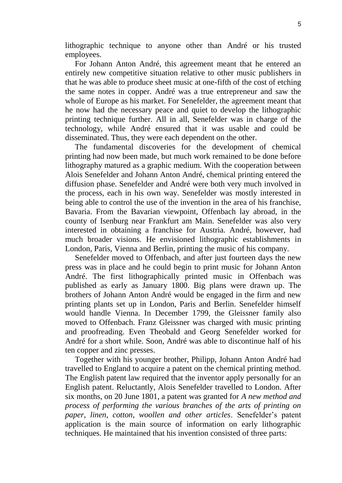lithographic technique to anyone other than André or his trusted employees.

For Johann Anton André, this agreement meant that he entered an entirely new competitive situation relative to other music publishers in that he was able to produce sheet music at one-fifth of the cost of etching the same notes in copper. André was a true entrepreneur and saw the whole of Europe as his market. For Senefelder, the agreement meant that he now had the necessary peace and quiet to develop the lithographic printing technique further. All in all, Senefelder was in charge of the technology, while André ensured that it was usable and could be disseminated. Thus, they were each dependent on the other.

The fundamental discoveries for the development of chemical printing had now been made, but much work remained to be done before lithography matured as a graphic medium. With the cooperation between Alois Senefelder and Johann Anton André, chemical printing entered the diffusion phase. Senefelder and André were both very much involved in the process, each in his own way. Senefelder was mostly interested in being able to control the use of the invention in the area of his franchise, Bavaria. From the Bavarian viewpoint, Offenbach lay abroad, in the county of Isenburg near Frankfurt am Main. Senefelder was also very interested in obtaining a franchise for Austria. André, however, had much broader visions. He envisioned lithographic establishments in London, Paris, Vienna and Berlin, printing the music of his company.

Senefelder moved to Offenbach, and after just fourteen days the new press was in place and he could begin to print music for Johann Anton André. The first lithographically printed music in Offenbach was published as early as January 1800. Big plans were drawn up. The brothers of Johann Anton André would be engaged in the firm and new printing plants set up in London, Paris and Berlin. Senefelder himself would handle Vienna. In December 1799, the Gleissner family also moved to Offenbach. Franz Gleissner was charged with music printing and proofreading. Even Theobald and Georg Senefelder worked for André for a short while. Soon, André was able to discontinue half of his ten copper and zinc presses.

Together with his younger brother, Philipp, Johann Anton André had travelled to England to acquire a patent on the chemical printing method. The English patent law required that the inventor apply personally for an English patent. Reluctantly, Alois Senefelder travelled to London. After six months, on 20 June 1801, a patent was granted for *A new method and process of performing the various branches of the arts of printing on paper, linen, cotton, woollen and other articles*. Senefelder's patent application is the main source of information on early lithographic techniques. He maintained that his invention consisted of three parts: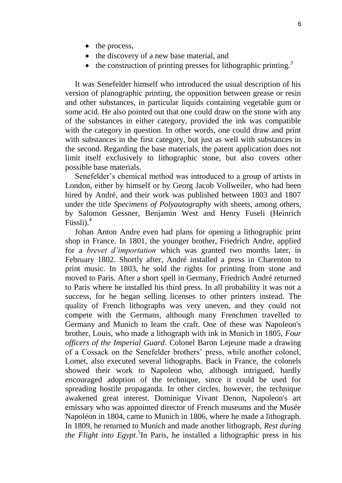- the process,
- the discovery of a new base material, and
- $\bullet$  the construction of printing presses for lithographic printing.<sup>3</sup>

It was Senefelder himself who introduced the usual description of his version of planographic printing, the opposition between grease or resin and other substances, in particular liquids containing vegetable gum or some acid. He also pointed out that one could draw on the stone with any of the substances in either category, provided the ink was compatible with the category in question. In other words, one could draw and print with substances in the first category, but just as well with substances in the second. Regarding the base materials, the patent application does not limit itself exclusively to lithographic stone, but also covers other possible base materials.

Senefelder's chemical method was introduced to a group of artists in London, either by himself or by Georg Jacob Vollweiler, who had been hired by André, and their work was published between 1803 and 1807 under the title *Specimens of Polyautography* with sheets, among others, by Salomon Gessner, Benjamin West and Henry Fuseli (Heinrich Füssli).<sup>4</sup>

Johan Anton Andre even had plans for opening a lithographic print shop in France. In 1801, the younger brother, Friedrich Andre, applied for a *brevet d'importation* which was granted two months later, in February 1802. Shortly after, André installed a press in Charenton to print music. In 1803, he sold the rights for printing from stone and moved to Paris. After a short spell in Germany, Friedrich André returned to Paris where he installed his third press. In all probability it was not a success, for he began selling licenses to other printers instead. The quality of French lithographs was very uneven, and they could not compete with the Germans, although many Frenchmen travelled to Germany and Munich to learn the craft. One of these was Napoleon's brother, Louis, who made a lithograph with ink in Munich in 1805, *Four officers of the Imperial Guard*. Colonel Baron Lejeune made a drawing of a Cossack on the Senefelder brothers' press, while another colonel, Lomet, also executed several lithographs. Back in France, the colonels showed their work to Napoleon who, although intrigued, hardly encouraged adoption of the technique, since it could be used for spreading hostile propaganda. In other circles, however, the technique awakened great interest. Dominique Vivant Denon, Napoleon's art emissary who was appointed director of French museums and the Musée Napoléon in 1804, came to Munich in 1806, where he made a lithograph. In 1809, he returned to Munich and made another lithograph, *Rest during the Flight into Egypt*. 5 In Paris, he installed a lithographic press in his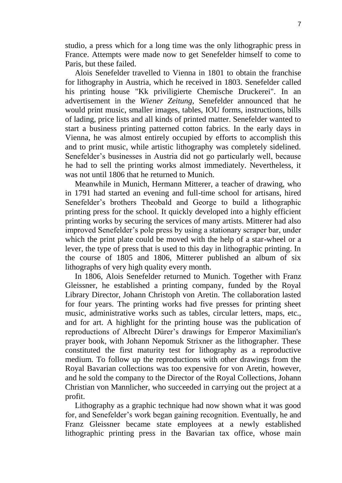studio, a press which for a long time was the only lithographic press in France. Attempts were made now to get Senefelder himself to come to Paris, but these failed.

Alois Senefelder travelled to Vienna in 1801 to obtain the franchise for lithography in Austria, which he received in 1803. Senefelder called his printing house "Kk priviligierte Chemische Druckerei". In an advertisement in the *Wiener Zeitung,* Senefelder announced that he would print music, smaller images, tables, IOU forms, instructions, bills of lading, price lists and all kinds of printed matter. Senefelder wanted to start a business printing patterned cotton fabrics. In the early days in Vienna, he was almost entirely occupied by efforts to accomplish this and to print music, while artistic lithography was completely sidelined. Senefelder's businesses in Austria did not go particularly well, because he had to sell the printing works almost immediately. Nevertheless, it was not until 1806 that he returned to Munich.

Meanwhile in Munich, Hermann Mitterer, a teacher of drawing, who in 1791 had started an evening and full-time school for artisans, hired Senefelder's brothers Theobald and George to build a lithographic printing press for the school. It quickly developed into a highly efficient printing works by securing the services of many artists. Mitterer had also improved Senefelder's pole press by using a stationary scraper bar, under which the print plate could be moved with the help of a star-wheel or a lever, the type of press that is used to this day in lithographic printing. In the course of 1805 and 1806, Mitterer published an album of six lithographs of very high quality every month.

In 1806, Alois Senefelder returned to Munich. Together with Franz Gleissner, he established a printing company, funded by the Royal Library Director, Johann Christoph von Aretin. The collaboration lasted for four years. The printing works had five presses for printing sheet music, administrative works such as tables, circular letters, maps, etc., and for art. A highlight for the printing house was the publication of reproductions of Albrecht Dürer's drawings for Emperor Maximilian's prayer book, with Johann Nepomuk Strixner as the lithographer. These constituted the first maturity test for lithography as a reproductive medium. To follow up the reproductions with other drawings from the Royal Bavarian collections was too expensive for von Aretin, however, and he sold the company to the Director of the Royal Collections, Johann Christian von Mannlicher, who succeeded in carrying out the project at a profit.

Lithography as a graphic technique had now shown what it was good for, and Senefelder's work began gaining recognition. Eventually, he and Franz Gleissner became state employees at a newly established lithographic printing press in the Bavarian tax office, whose main